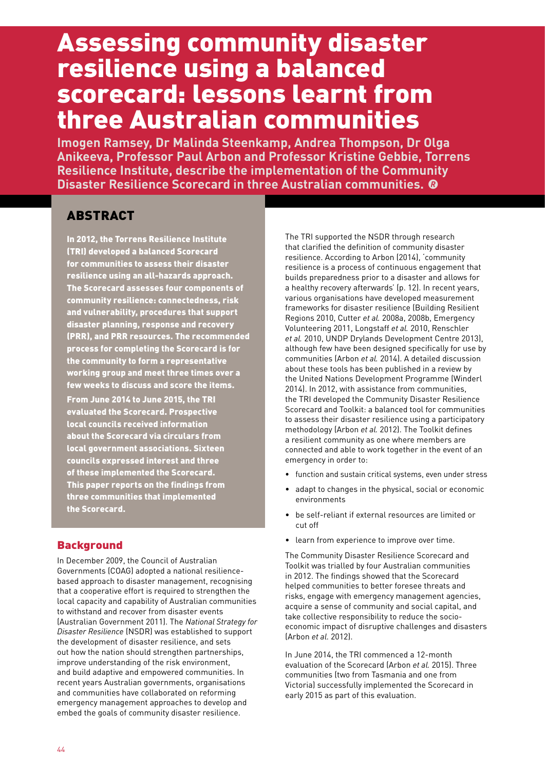# Assessing community disaster resilience using a balanced scorecard: lessons learnt from three Australian communities

**Imogen Ramsey, Dr Malinda Steenkamp, Andrea Thompson, Dr Olga Anikeeva, Professor Paul Arbon and Professor Kristine Gebbie, Torrens Resilience Institute, describe the implementation of the Community Disaster Resilience Scorecard in three Australian communities. ©** 

## ABSTRACT

In 2012, the Torrens Resilience Institute (TRI) developed a balanced Scorecard for communities to assess their disaster resilience using an all-hazards approach. The Scorecard assesses four components of community resilience: connectedness, risk and vulnerability, procedures that support disaster planning, response and recovery (PRR), and PRR resources. The recommended process for completing the Scorecard is for the community to form a representative working group and meet three times over a few weeks to discuss and score the items.

From June 2014 to June 2015, the TRI evaluated the Scorecard. Prospective local councils received information about the Scorecard via circulars from local government associations. Sixteen councils expressed interest and three of these implemented the Scorecard. This paper reports on the findings from three communities that implemented the Scorecard.

## **Background**

In December 2009, the Council of Australian Governments (COAG) adopted a national resiliencebased approach to disaster management, recognising that a cooperative effort is required to strengthen the local capacity and capability of Australian communities to withstand and recover from disaster events (Australian Government 2011). The *National Strategy for Disaster Resilience* (NSDR) was established to support the development of disaster resilience, and sets out how the nation should strengthen partnerships, improve understanding of the risk environment, and build adaptive and empowered communities. In recent years Australian governments, organisations and communities have collaborated on reforming emergency management approaches to develop and embed the goals of community disaster resilience.

The TRI supported the NSDR through research that clarified the definition of community disaster resilience. According to Arbon (2014), 'community resilience is a process of continuous engagement that builds preparedness prior to a disaster and allows for a healthy recovery afterwards' (p. 12). In recent years, various organisations have developed measurement frameworks for disaster resilience (Building Resilient Regions 2010, Cutter *et al.* 2008a, 2008b, Emergency Volunteering 2011, Longstaff *et al.* 2010, Renschler *et al.* 2010, UNDP Drylands Development Centre 2013), although few have been designed specifically for use by communities (Arbon *et al.* 2014). A detailed discussion about these tools has been published in a review by the United Nations Development Programme (Winderl 2014). In 2012, with assistance from communities, the TRI developed the Community Disaster Resilience Scorecard and Toolkit: a balanced tool for communities to assess their disaster resilience using a participatory methodology (Arbon *et al.* 2012). The Toolkit defines a resilient community as one where members are connected and able to work together in the event of an emergency in order to:

- function and sustain critical systems, even under stress
- adapt to changes in the physical, social or economic environments
- be self-reliant if external resources are limited or cut off
- learn from experience to improve over time.

The Community Disaster Resilience Scorecard and Toolkit was trialled by four Australian communities in 2012. The findings showed that the Scorecard helped communities to better foresee threats and risks, engage with emergency management agencies, acquire a sense of community and social capital, and take collective responsibility to reduce the socioeconomic impact of disruptive challenges and disasters (Arbon *et al*. 2012).

In June 2014, the TRI commenced a 12-month evaluation of the Scorecard (Arbon *et al.* 2015). Three communities (two from Tasmania and one from Victoria) successfully implemented the Scorecard in early 2015 as part of this evaluation.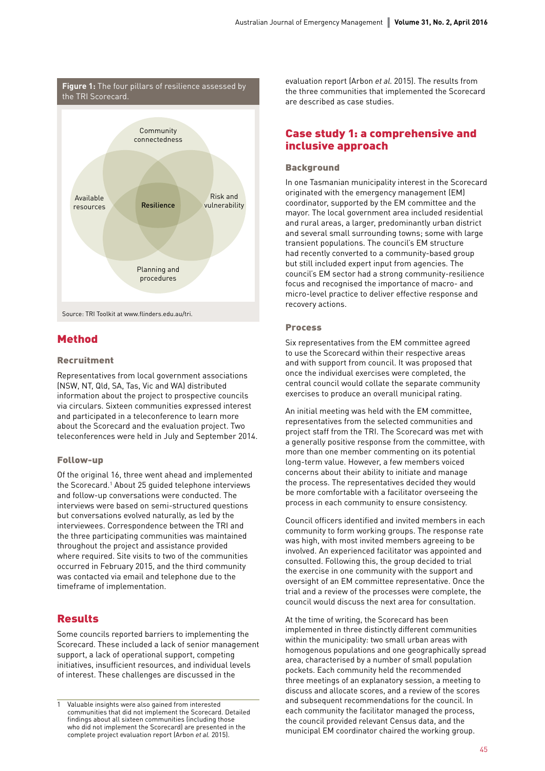

Source: TRI Toolkit at [www.flinders.edu.au/tri.](http://www.flinders.edu.au/tri)

## Method

#### Recruitment

Representatives from local government associations (NSW, NT, Qld, SA, Tas, Vic and WA) distributed information about the project to prospective councils via circulars. Sixteen communities expressed interest and participated in a teleconference to learn more about the Scorecard and the evaluation project. Two teleconferences were held in July and September 2014.

#### Follow-up

Of the original 16, three went ahead and implemented the Scorecard.<sup>1</sup> About 25 guided telephone interviews and follow-up conversations were conducted. The interviews were based on semi-structured questions but conversations evolved naturally, as led by the interviewees. Correspondence between the TRI and the three participating communities was maintained throughout the project and assistance provided where required. Site visits to two of the communities occurred in February 2015, and the third community was contacted via email and telephone due to the timeframe of implementation.

## Results

Some councils reported barriers to implementing the Scorecard. These included a lack of senior management support, a lack of operational support, competing initiatives, insufficient resources, and individual levels of interest. These challenges are discussed in the

evaluation report (Arbon *et al*. 2015). The results from the three communities that implemented the Scorecard are described as case studies.

## Case study 1: a comprehensive and inclusive approach

#### **Background**

In one Tasmanian municipality interest in the Scorecard originated with the emergency management (EM) coordinator, supported by the EM committee and the mayor. The local government area included residential and rural areas, a larger, predominantly urban district and several small surrounding towns; some with large transient populations. The council's EM structure had recently converted to a community-based group but still included expert input from agencies. The council's EM sector had a strong community-resilience focus and recognised the importance of macro- and micro-level practice to deliver effective response and recovery actions.

#### Process

Six representatives from the EM committee agreed to use the Scorecard within their respective areas and with support from council. It was proposed that once the individual exercises were completed, the central council would collate the separate community exercises to produce an overall municipal rating.

An initial meeting was held with the EM committee, representatives from the selected communities and project staff from the TRI. The Scorecard was met with a generally positive response from the committee, with more than one member commenting on its potential long-term value. However, a few members voiced concerns about their ability to initiate and manage the process. The representatives decided they would be more comfortable with a facilitator overseeing the process in each community to ensure consistency.

Council officers identified and invited members in each community to form working groups. The response rate was high, with most invited members agreeing to be involved. An experienced facilitator was appointed and consulted. Following this, the group decided to trial the exercise in one community with the support and oversight of an EM committee representative. Once the trial and a review of the processes were complete, the council would discuss the next area for consultation.

At the time of writing, the Scorecard has been implemented in three distinctly different communities within the municipality: two small urban areas with homogenous populations and one geographically spread area, characterised by a number of small population pockets. Each community held the recommended three meetings of an explanatory session, a meeting to discuss and allocate scores, and a review of the scores and subsequent recommendations for the council. In each community the facilitator managed the process, the council provided relevant Census data, and the municipal EM coordinator chaired the working group.

Valuable insights were also gained from interested communities that did not implement the Scorecard. Detailed findings about all sixteen communities (including those who did not implement the Scorecard) are presented in the complete project evaluation report (Arbon *et al.* 2015).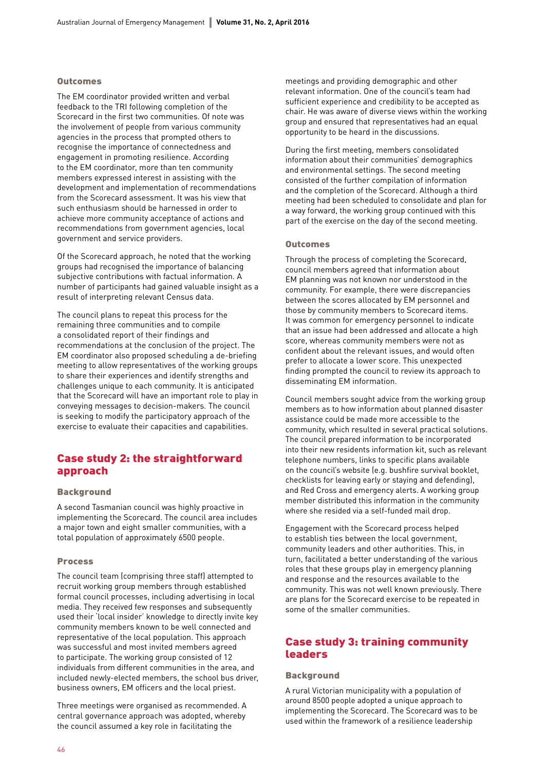#### **Outcomes**

The EM coordinator provided written and verbal feedback to the TRI following completion of the Scorecard in the first two communities. Of note was the involvement of people from various community agencies in the process that prompted others to recognise the importance of connectedness and engagement in promoting resilience. According to the EM coordinator, more than ten community members expressed interest in assisting with the development and implementation of recommendations from the Scorecard assessment. It was his view that such enthusiasm should be harnessed in order to achieve more community acceptance of actions and recommendations from government agencies, local government and service providers.

Of the Scorecard approach, he noted that the working groups had recognised the importance of balancing subjective contributions with factual information. A number of participants had gained valuable insight as a result of interpreting relevant Census data.

The council plans to repeat this process for the remaining three communities and to compile a consolidated report of their findings and recommendations at the conclusion of the project. The EM coordinator also proposed scheduling a de-briefing meeting to allow representatives of the working groups to share their experiences and identify strengths and challenges unique to each community. It is anticipated that the Scorecard will have an important role to play in conveying messages to decision-makers. The council is seeking to modify the participatory approach of the exercise to evaluate their capacities and capabilities.

## Case study 2: the straightforward approach

#### **Background**

A second Tasmanian council was highly proactive in implementing the Scorecard. The council area includes a major town and eight smaller communities, with a total population of approximately 6500 people.

#### Process

The council team (comprising three staff) attempted to recruit working group members through established formal council processes, including advertising in local media. They received few responses and subsequently used their 'local insider' knowledge to directly invite key community members known to be well connected and representative of the local population. This approach was successful and most invited members agreed to participate. The working group consisted of 12 individuals from different communities in the area, and included newly-elected members, the school bus driver, business owners, EM officers and the local priest.

Three meetings were organised as recommended. A central governance approach was adopted, whereby the council assumed a key role in facilitating the

meetings and providing demographic and other relevant information. One of the council's team had sufficient experience and credibility to be accepted as chair. He was aware of diverse views within the working group and ensured that representatives had an equal opportunity to be heard in the discussions.

During the first meeting, members consolidated information about their communities' demographics and environmental settings. The second meeting consisted of the further compilation of information and the completion of the Scorecard. Although a third meeting had been scheduled to consolidate and plan for a way forward, the working group continued with this part of the exercise on the day of the second meeting.

#### **Outcomes**

Through the process of completing the Scorecard, council members agreed that information about EM planning was not known nor understood in the community. For example, there were discrepancies between the scores allocated by EM personnel and those by community members to Scorecard items. It was common for emergency personnel to indicate that an issue had been addressed and allocate a high score, whereas community members were not as confident about the relevant issues, and would often prefer to allocate a lower score. This unexpected finding prompted the council to review its approach to disseminating EM information.

Council members sought advice from the working group members as to how information about planned disaster assistance could be made more accessible to the community, which resulted in several practical solutions. The council prepared information to be incorporated into their new residents information kit, such as relevant telephone numbers, links to specific plans available on the council's website (e.g. bushfire survival booklet, checklists for leaving early or staying and defending), and Red Cross and emergency alerts. A working group member distributed this information in the community where she resided via a self-funded mail drop.

Engagement with the Scorecard process helped to establish ties between the local government, community leaders and other authorities. This, in turn, facilitated a better understanding of the various roles that these groups play in emergency planning and response and the resources available to the community. This was not well known previously. There are plans for the Scorecard exercise to be repeated in some of the smaller communities.

## Case study 3: training community leaders

#### **Background**

A rural Victorian municipality with a population of around 8500 people adopted a unique approach to implementing the Scorecard. The Scorecard was to be used within the framework of a resilience leadership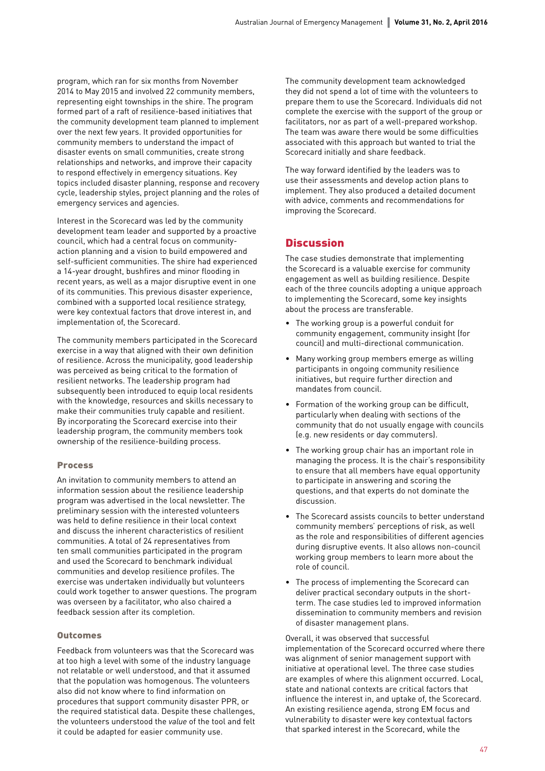program, which ran for six months from November 2014 to May 2015 and involved 22 community members, representing eight townships in the shire. The program formed part of a raft of resilience-based initiatives that the community development team planned to implement over the next few years. It provided opportunities for community members to understand the impact of disaster events on small communities, create strong relationships and networks, and improve their capacity to respond effectively in emergency situations. Key topics included disaster planning, response and recovery cycle, leadership styles, project planning and the roles of emergency services and agencies.

Interest in the Scorecard was led by the community development team leader and supported by a proactive council, which had a central focus on communityaction planning and a vision to build empowered and self-sufficient communities. The shire had experienced a 14-year drought, bushfires and minor flooding in recent years, as well as a major disruptive event in one of its communities. This previous disaster experience, combined with a supported local resilience strategy, were key contextual factors that drove interest in, and implementation of, the Scorecard.

The community members participated in the Scorecard exercise in a way that aligned with their own definition of resilience. Across the municipality, good leadership was perceived as being critical to the formation of resilient networks. The leadership program had subsequently been introduced to equip local residents with the knowledge, resources and skills necessary to make their communities truly capable and resilient. By incorporating the Scorecard exercise into their leadership program, the community members took ownership of the resilience-building process.

#### Process

An invitation to community members to attend an information session about the resilience leadership program was advertised in the local newsletter. The preliminary session with the interested volunteers was held to define resilience in their local context and discuss the inherent characteristics of resilient communities. A total of 24 representatives from ten small communities participated in the program and used the Scorecard to benchmark individual communities and develop resilience profiles. The exercise was undertaken individually but volunteers could work together to answer questions. The program was overseen by a facilitator, who also chaired a feedback session after its completion.

## **Outcomes**

Feedback from volunteers was that the Scorecard was at too high a level with some of the industry language not relatable or well understood, and that it assumed that the population was homogenous. The volunteers also did not know where to find information on procedures that support community disaster PPR, or the required statistical data. Despite these challenges, the volunteers understood the *value* of the tool and felt it could be adapted for easier community use.

The community development team acknowledged they did not spend a lot of time with the volunteers to prepare them to use the Scorecard. Individuals did not complete the exercise with the support of the group or facilitators, nor as part of a well-prepared workshop. The team was aware there would be some difficulties associated with this approach but wanted to trial the Scorecard initially and share feedback.

The way forward identified by the leaders was to use their assessments and develop action plans to implement. They also produced a detailed document with advice, comments and recommendations for improving the Scorecard.

## **Discussion**

The case studies demonstrate that implementing the Scorecard is a valuable exercise for community engagement as well as building resilience. Despite each of the three councils adopting a unique approach to implementing the Scorecard, some key insights about the process are transferable.

- The working group is a powerful conduit for community engagement, community insight (for council) and multi-directional communication.
- Many working group members emerge as willing participants in ongoing community resilience initiatives, but require further direction and mandates from council.
- Formation of the working group can be difficult, particularly when dealing with sections of the community that do not usually engage with councils (e.g. new residents or day commuters).
- The working group chair has an important role in managing the process. It is the chair's responsibility to ensure that all members have equal opportunity to participate in answering and scoring the questions, and that experts do not dominate the discussion.
- The Scorecard assists councils to better understand community members' perceptions of risk, as well as the role and responsibilities of different agencies during disruptive events. It also allows non-council working group members to learn more about the role of council.
- The process of implementing the Scorecard can deliver practical secondary outputs in the shortterm. The case studies led to improved information dissemination to community members and revision of disaster management plans.

Overall, it was observed that successful implementation of the Scorecard occurred where there was alignment of senior management support with initiative at operational level. The three case studies are examples of where this alignment occurred. Local, state and national contexts are critical factors that influence the interest in, and uptake of, the Scorecard. An existing resilience agenda, strong EM focus and vulnerability to disaster were key contextual factors that sparked interest in the Scorecard, while the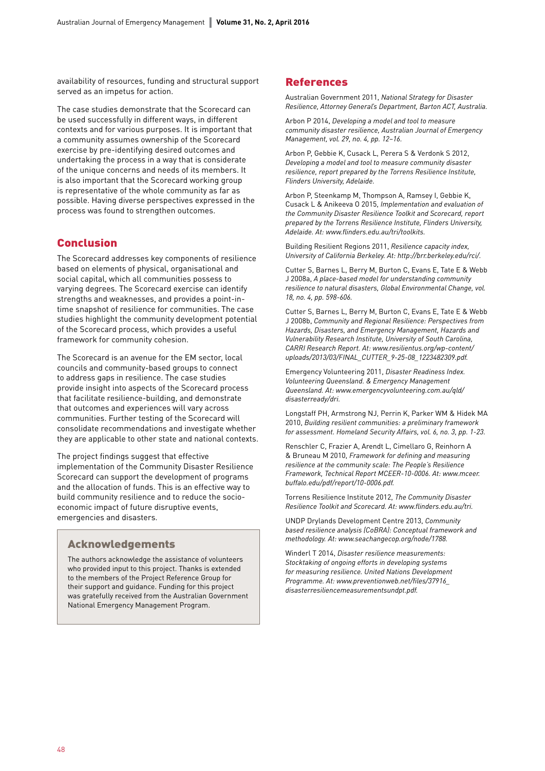availability of resources, funding and structural support served as an impetus for action.

The case studies demonstrate that the Scorecard can be used successfully in different ways, in different contexts and for various purposes. It is important that a community assumes ownership of the Scorecard exercise by pre-identifying desired outcomes and undertaking the process in a way that is considerate of the unique concerns and needs of its members. It is also important that the Scorecard working group is representative of the whole community as far as possible. Having diverse perspectives expressed in the process was found to strengthen outcomes.

## Conclusion

The Scorecard addresses key components of resilience based on elements of physical, organisational and social capital, which all communities possess to varying degrees. The Scorecard exercise can identify strengths and weaknesses, and provides a point-intime snapshot of resilience for communities. The case studies highlight the community development potential of the Scorecard process, which provides a useful framework for community cohesion.

The Scorecard is an avenue for the EM sector, local councils and community-based groups to connect to address gaps in resilience. The case studies provide insight into aspects of the Scorecard process that facilitate resilience-building, and demonstrate that outcomes and experiences will vary across communities. Further testing of the Scorecard will consolidate recommendations and investigate whether they are applicable to other state and national contexts.

The project findings suggest that effective implementation of the Community Disaster Resilience Scorecard can support the development of programs and the allocation of funds. This is an effective way to build community resilience and to reduce the socioeconomic impact of future disruptive events, emergencies and disasters.

## Acknowledgements

The authors acknowledge the assistance of volunteers who provided input to this project. Thanks is extended to the members of the Project Reference Group for their support and guidance. Funding for this project was gratefully received from the Australian Government National Emergency Management Program.

#### References

Australian Government 2011, *National Strategy for Disaster Resilience, Attorney General's Department, Barton ACT, Australia.* 

Arbon P 2014, *Developing a model and tool to measure community disaster resilience, Australian Journal of Emergency Management, vol. 29, no. 4, pp. 12–16.* 

Arbon P, Gebbie K, Cusack L, Perera S & Verdonk S 2012, *Developing a model and tool to measure community disaster resilience, report prepared by the Torrens Resilience Institute, Flinders University, Adelaide.*

Arbon P, Steenkamp M, Thompson A, Ramsey I, Gebbie K, Cusack L & Anikeeva O 2015, *Implementation and evaluation of the Community Disaster Resilience Toolkit and Scorecard, report prepared by the Torrens Resilience Institute, Flinders University, Adelaide. At: [www.flinders.edu.au/tri/toolkits.](http://www.flinders.edu.au/tri/toolkits)*

Building Resilient Regions 2011, *Resilience capacity index, University of California Berkeley. At: [http://brr.berkeley.edu/rci/.](http://brr.berkeley.edu/rci/)*

Cutter S, Barnes L, Berry M, Burton C, Evans E, Tate E & Webb J 2008a, *A place-based model for understanding community resilience to natural disasters, Global Environmental Change, vol. 18, no. 4, pp. 598-606.*

Cutter S, Barnes L, Berry M, Burton C, Evans E, Tate E & Webb J 2008b, *Community and Regional Resilience: Perspectives from Hazards, Disasters, and Emergency Management, Hazards and Vulnerability Research Institute, University of South Carolina, CARRI Research Report. At: [www.resilientus.org/wp-content/](http://www.resilientus.org/wp-content/uploads/2013/03/FINAL_CUTTER_9-25-08_1223482309.pdf) [uploads/2013/03/FINAL\\_CUTTER\\_9-25-08\\_1223482309.pdf](http://www.resilientus.org/wp-content/uploads/2013/03/FINAL_CUTTER_9-25-08_1223482309.pdf).*

Emergency Volunteering 2011, *Disaster Readiness Index. Volunteering Queensland. & Emergency Management Queensland. At: [www.emergencyvolunteering.com.au/qld/](http://www.emergencyvolunteering.com.au/qld/disasterready/dri) [disasterready/dri.](http://www.emergencyvolunteering.com.au/qld/disasterready/dri)*

Longstaff PH, Armstrong NJ, Perrin K, Parker WM & Hidek MA 2010, *Building resilient communities: a preliminary framework for assessment. Homeland Security Affairs, vol. 6, no. 3, pp. 1-23.* 

Renschler C, Frazier A, Arendt L, Cimellaro G, Reinhorn A & Bruneau M 2010, *Framework for defining and measuring resilience at the community scale: The People's Resilience Framework, Technical Report MCEER-10-0006. At: [www.mceer.](http://www.mceer.buffalo.edu/pdf/report/10-0006.pdf) [buffalo.edu/pdf/report/10-0006.pdf.](http://www.mceer.buffalo.edu/pdf/report/10-0006.pdf)*

Torrens Resilience Institute 2012, *The Community Disaster Resilience Toolkit and Scorecard. At: [www.flinders.edu.au/tri.](http://www.flinders.edu.au/tri)* 

UNDP Drylands Development Centre 2013, *Community based resilience analysis (CoBRA): Conceptual framework and methodology. At: [www.seachangecop.org/node/1788](http://www.seachangecop.org/node/1788).*

Winderl T 2014, *Disaster resilience measurements: Stocktaking of ongoing efforts in developing systems for measuring resilience. United Nations Development Programme. At: [www.preventionweb.net/files/37916\\_](http://www.preventionweb.net/files/37916_disasterresiliencemeasurementsundpt.pdf) [disasterresiliencemeasurementsundpt.pdf.](http://www.preventionweb.net/files/37916_disasterresiliencemeasurementsundpt.pdf)*